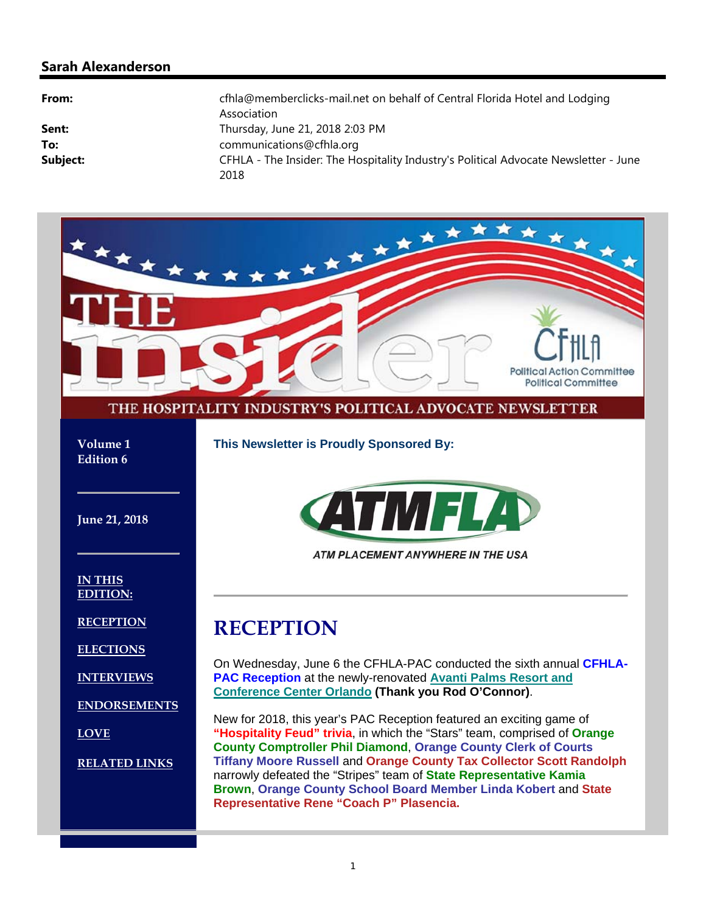### **Sarah Alexanderson**

| From:    | cfhla@memberclicks-mail.net on behalf of Central Florida Hotel and Lodging<br>Association |
|----------|-------------------------------------------------------------------------------------------|
| Sent:    | Thursday, June 21, 2018 2:03 PM                                                           |
| To:      | communications@cfhla.org                                                                  |
| Subject: | CFHLA - The Insider: The Hospitality Industry's Political Advocate Newsletter - June      |
|          | 2018                                                                                      |

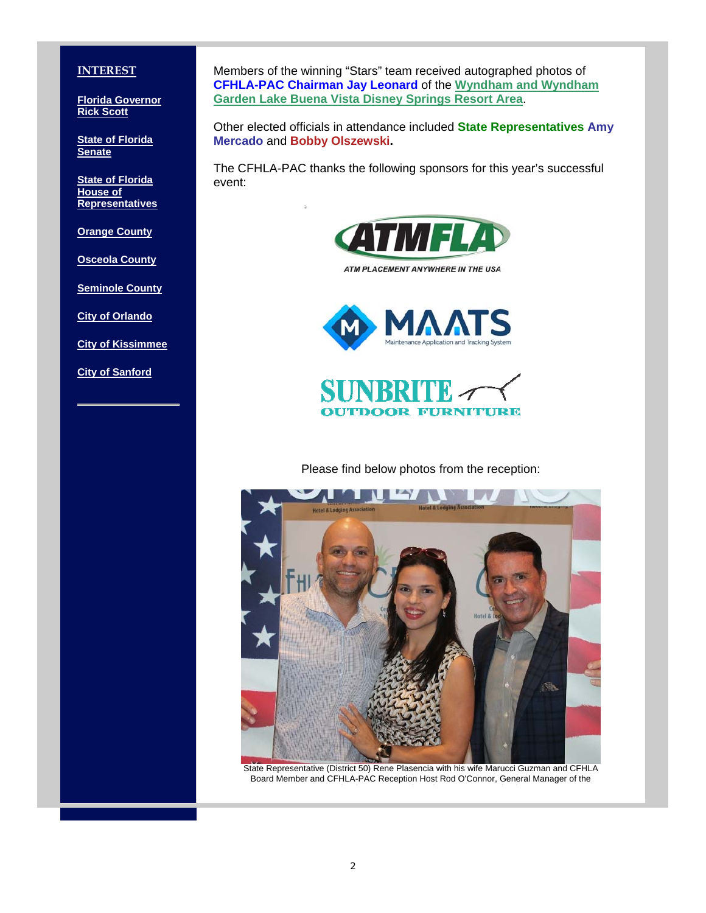#### **INTEREST**

**Florida Governor Rick Scott**

**State of Florida Senate**

**State of Florida House of Representatives**

**Orange County**

**Osceola County**

**Seminole County**

**City of Orlando**

**City of Kissimmee**

**City of Sanford**

Members of the winning "Stars" team received autographed photos of **CFHLA-PAC Chairman Jay Leonard** of the **Wyndham and Wyndham Garden Lake Buena Vista Disney Springs Resort Area**.

Other elected officials in attendance included **State Representatives Amy Mercado** and **Bobby Olszewski.**

The CFHLA-PAC thanks the following sponsors for this year's successful event:



ATM PLACEMENT ANYWHERE IN THE USA





Please find below photos from the reception:



State Representative (District 50) Rene Plasencia with his wife Marucci Guzman and CFHLA Board Member and CFHLA-PAC Reception Host Rod O'Connor, General Manager of the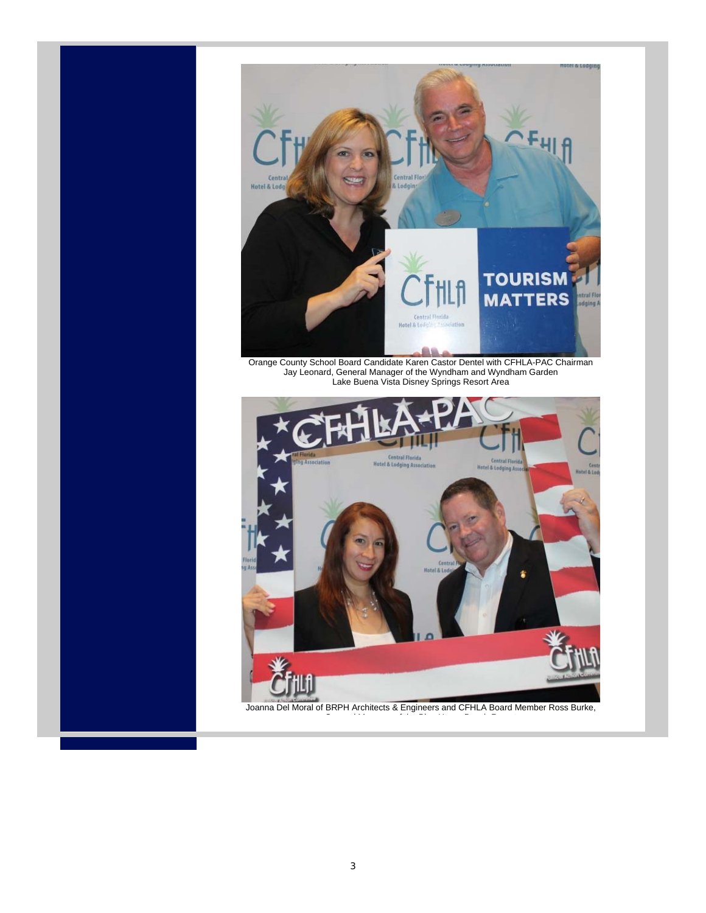

**Central Florida**<br>Hotel & Lodging Association Central Florida<br>Hotel & Lodging Asso i Loc Hotel & Lu Joanna Del Moral of BRPH Architects & Engineers and CFHLA Board Member Ross Burke,

3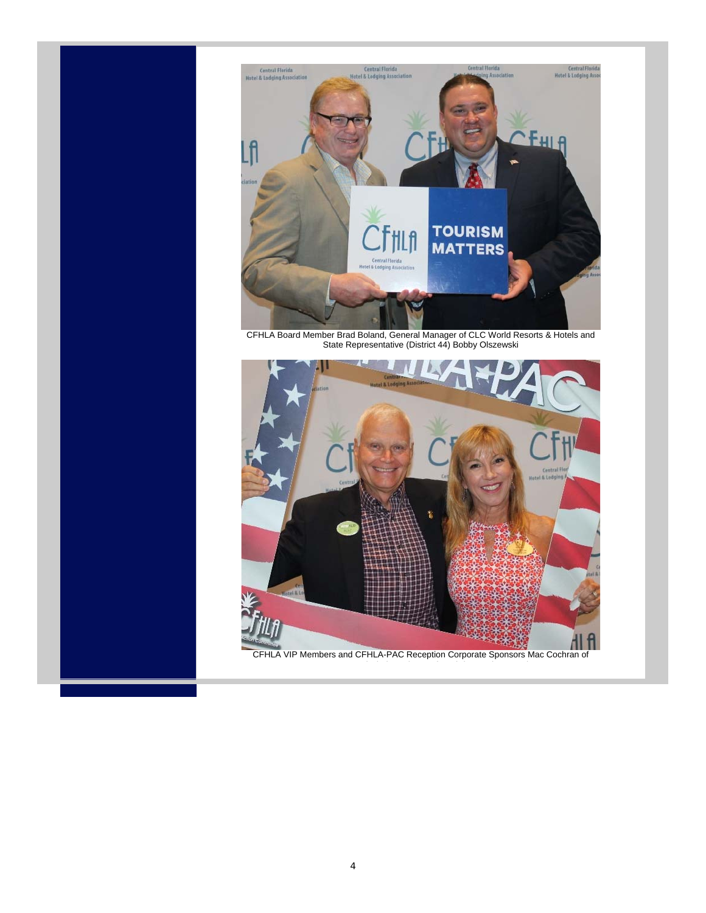

CFHLA Board Member Brad Boland, General Manager of CLC World Resorts & Hotels and State Representative (District 44) Bobby Olszewski



CFHLA VIP Members and CFHLA-PAC Reception Corporate Sponsors Mac Cochran of  $A_{\mathrm{max}}$  and  $A_{\mathrm{max}}$  and  $A_{\mathrm{max}}$  and  $A_{\mathrm{max}}$  and  $A_{\mathrm{max}}$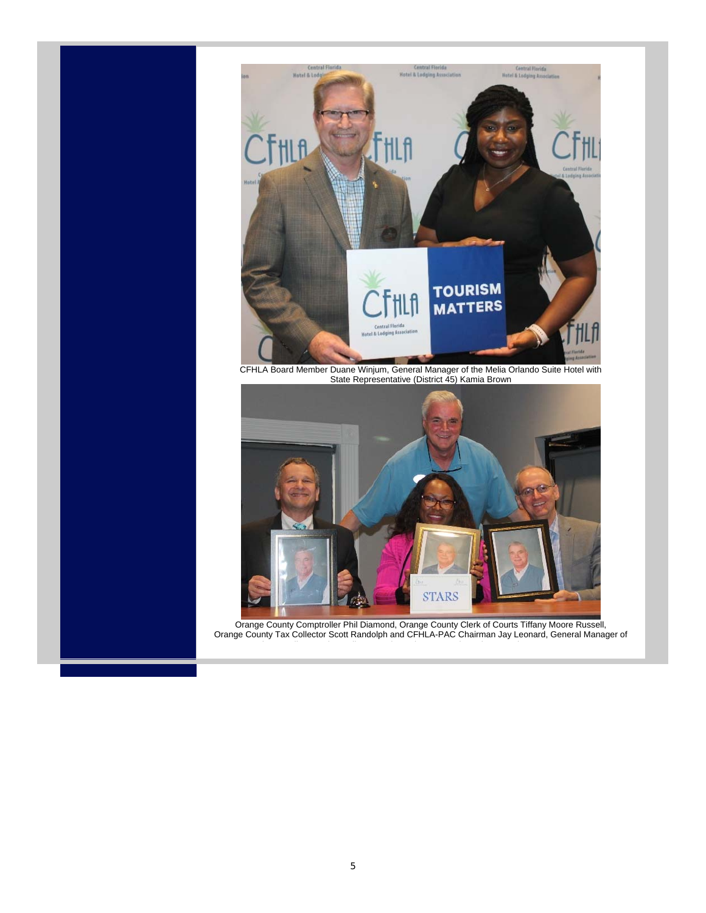

CFHLA Board Member Duane Winjum, General Manager of the Melia Orlando Suite Hotel with State Representative (District 45) Kamia Brown



Orange County Comptroller Phil Diamond, Orange County Clerk of Courts Tiffany Moore Russell, Orange County Tax Collector Scott Randolph and CFHLA-PAC Chairman Jay Leonard, General Manager of the Wyndham and Wyndham Garden Lake Buena Vista Disney Springs Resort Area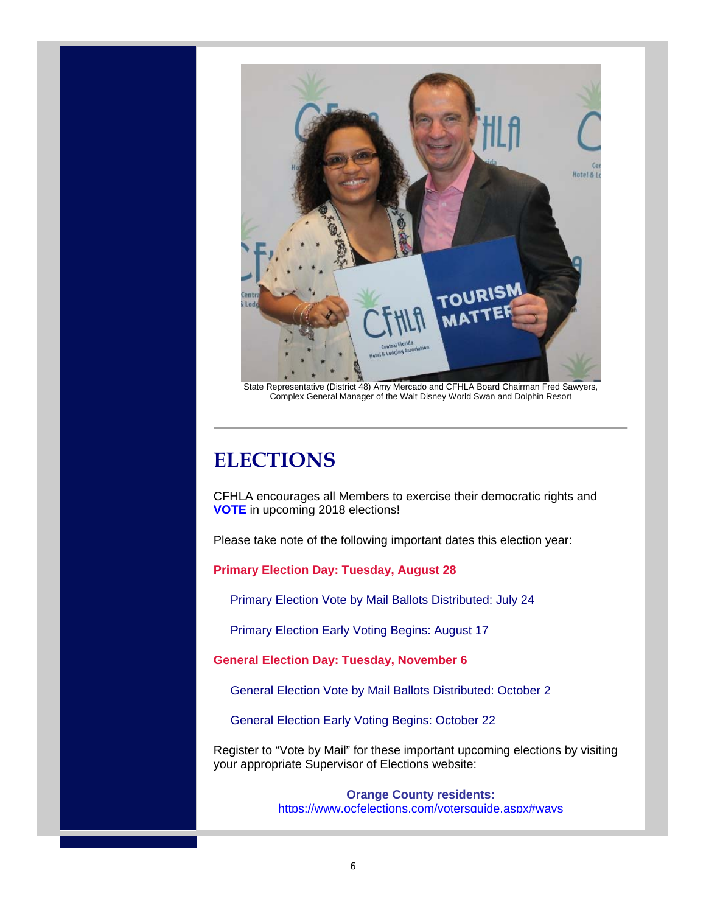

State Representative (District 48) Amy Mercado and CFHLA Board Chairman Fred Sawyers, Complex General Manager of the Walt Disney World Swan and Dolphin Resort

# **ELECTIONS**

CFHLA encourages all Members to exercise their democratic rights and **VOTE** in upcoming 2018 elections!

Please take note of the following important dates this election year:

**Primary Election Day: Tuesday, August 28**

Primary Election Vote by Mail Ballots Distributed: July 24

Primary Election Early Voting Begins: August 17

**General Election Day: Tuesday, November 6**

General Election Vote by Mail Ballots Distributed: October 2

General Election Early Voting Begins: October 22

Register to "Vote by Mail" for these important upcoming elections by visiting your appropriate Supervisor of Elections website:

> **Orange County residents:** https://www.ocfelections.com/votersguide.aspx#ways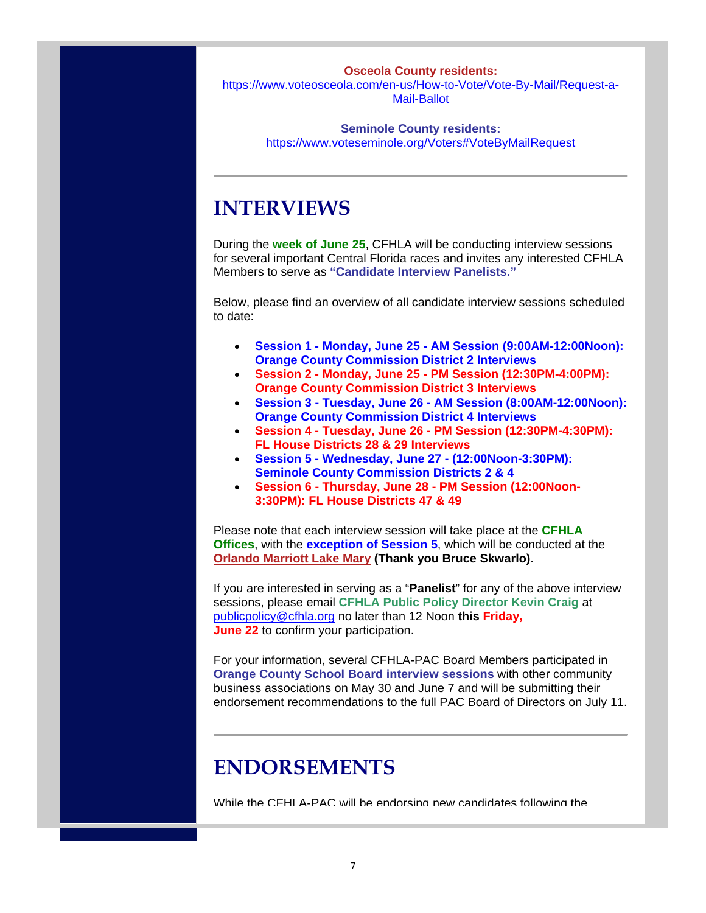#### **Osceola County residents:**

https://www.voteosceola.com/en-us/How-to-Vote/Vote-By-Mail/Request-a-Mail-Ballot

### **Seminole County residents:**

https://www.voteseminole.org/Voters#VoteByMailRequest

## **INTERVIEWS**

During the **week of June 25**, CFHLA will be conducting interview sessions for several important Central Florida races and invites any interested CFHLA Members to serve as **"Candidate Interview Panelists."**

Below, please find an overview of all candidate interview sessions scheduled to date:

- **Session 1 Monday, June 25 AM Session (9:00AM-12:00Noon): Orange County Commission District 2 Interviews**
- **Session 2 Monday, June 25 PM Session (12:30PM-4:00PM): Orange County Commission District 3 Interviews**
- **Session 3 Tuesday, June 26 AM Session (8:00AM-12:00Noon): Orange County Commission District 4 Interviews**
- **Session 4 Tuesday, June 26 PM Session (12:30PM-4:30PM): FL House Districts 28 & 29 Interviews**
- **Session 5 Wednesday, June 27 (12:00Noon-3:30PM): Seminole County Commission Districts 2 & 4**
- **Session 6 Thursday, June 28 PM Session (12:00Noon-3:30PM): FL House Districts 47 & 49**

Please note that each interview session will take place at the **CFHLA Offices**, with the **exception of Session 5**, which will be conducted at the **Orlando Marriott Lake Mary (Thank you Bruce Skwarlo)**.

If you are interested in serving as a "**Panelist**" for any of the above interview sessions, please email **CFHLA Public Policy Director Kevin Craig** at publicpolicy@cfhla.org no later than 12 Noon **this Friday, June 22** to confirm your participation.

For your information, several CFHLA-PAC Board Members participated in **Orange County School Board interview sessions** with other community business associations on May 30 and June 7 and will be submitting their endorsement recommendations to the full PAC Board of Directors on July 11.

## **ENDORSEMENTS**

While the CFHLA-PAC will be endorsing new candidates following the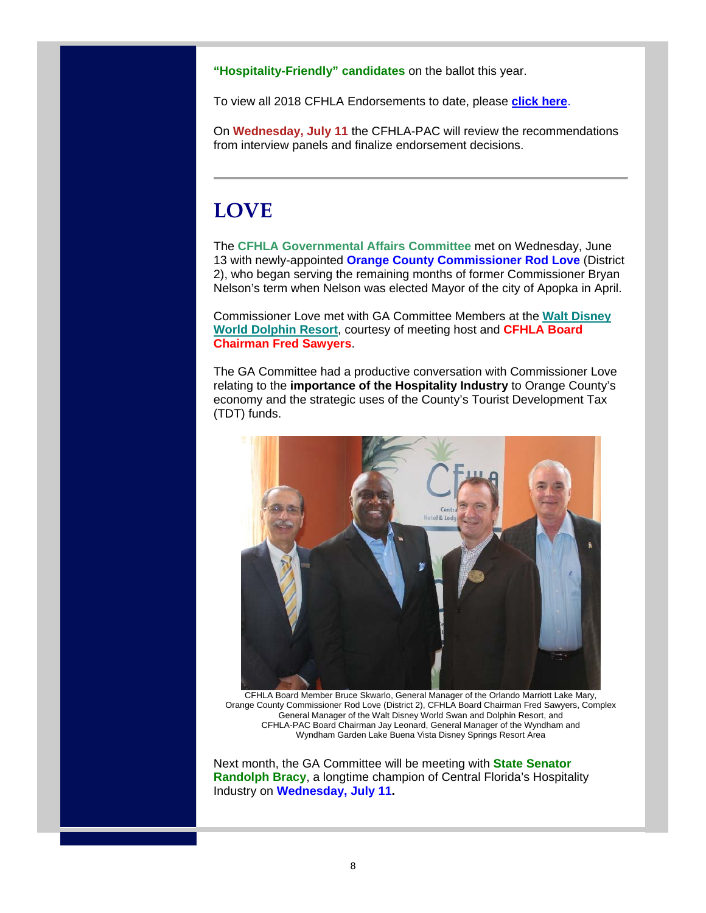**"Hospitality-Friendly" candidates** on the ballot this year.

To view all 2018 CFHLA Endorsements to date, please **click here**.

On **Wednesday, July 11** the CFHLA-PAC will review the recommendations from interview panels and finalize endorsement decisions.

## **LOVE**

The **CFHLA Governmental Affairs Committee** met on Wednesday, June 13 with newly-appointed **Orange County Commissioner Rod Love** (District 2), who began serving the remaining months of former Commissioner Bryan Nelson's term when Nelson was elected Mayor of the city of Apopka in April.

Commissioner Love met with GA Committee Members at the **Walt Disney World Dolphin Resort**, courtesy of meeting host and **CFHLA Board Chairman Fred Sawyers**.

The GA Committee had a productive conversation with Commissioner Love relating to the **importance of the Hospitality Industry** to Orange County's economy and the strategic uses of the County's Tourist Development Tax (TDT) funds.



CFHLA Board Member Bruce Skwarlo, General Manager of the Orlando Marriott Lake Mary, Orange County Commissioner Rod Love (District 2), CFHLA Board Chairman Fred Sawyers, Complex General Manager of the Walt Disney World Swan and Dolphin Resort, and CFHLA-PAC Board Chairman Jay Leonard, General Manager of the Wyndham and Wyndham Garden Lake Buena Vista Disney Springs Resort Area

Next month, the GA Committee will be meeting with **State Senator Randolph Bracy**, a longtime champion of Central Florida's Hospitality Industry on **Wednesday, July 11.**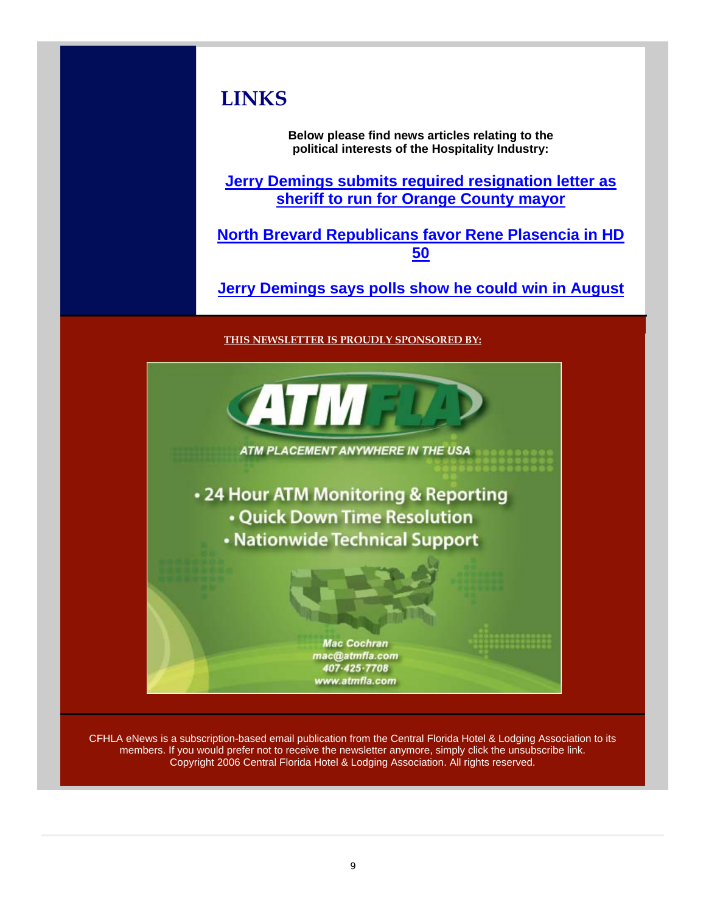# **LINKS**

**Below please find news articles relating to the political interests of the Hospitality Industry:**

**Jerry Demings submits required resignation letter as sheriff to run for Orange County mayor** 

**North Brevard Republicans favor Rene Plasencia in HD 50** 

**Jerry Demings says polls show he could win in August**

### **THIS NEWSLETTER IS PROUDLY SPONSORED BY:**



CFHLA eNews is a subscription-based email publication from the Central Florida Hotel & Lodging Association to its members. If you would prefer not to receive the newsletter anymore, simply click the unsubscribe link. Copyright 2006 Central Florida Hotel & Lodging Association. All rights reserved.